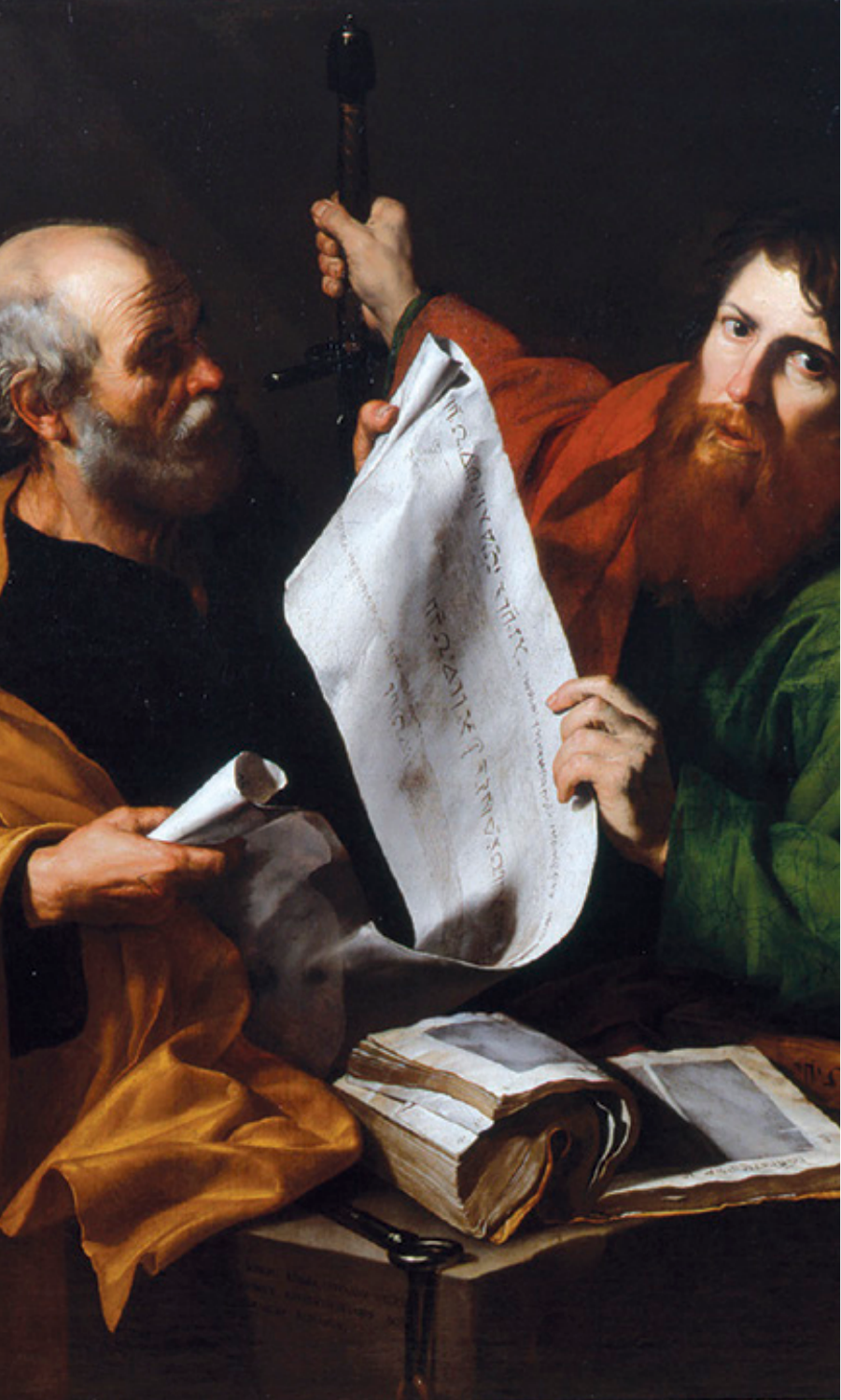